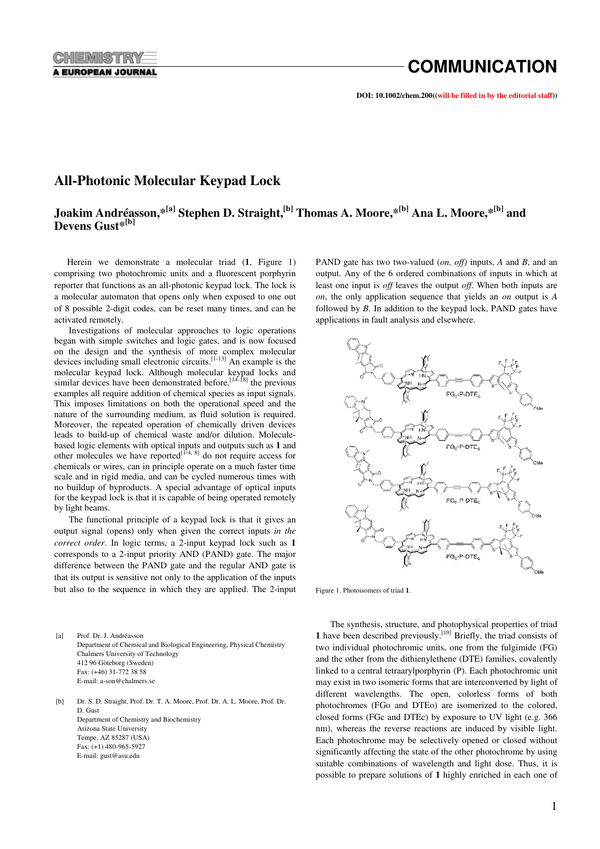**DOI: 10.1002/chem.200((will be filled in by the editorial staff))**

# **All-Photonic Molecular Keypad Lock**

# **Joakim Andréasson,\*[a] Stephen D. Straight,[b] Thomas A. Moore,\*[b] Ana L. Moore,\*[b] and Devens Gust\*[b]**

Herein we demonstrate a molecular triad (**1**, Figure 1) comprising two photochromic units and a fluorescent porphyrin reporter that functions as an all-photonic keypad lock. The lock is a molecular automaton that opens only when exposed to one out of 8 possible 2-digit codes, can be reset many times, and can be activated remotely.

Investigations of molecular approaches to logic operations began with simple switches and logic gates, and is now focused on the design and the synthesis of more complex molecular devices including small electronic circuits.[1-13] An example is the molecular keypad lock. Although molecular keypad locks and similar devices have been demonstrated before,  $[14-18]$  the previous examples all require addition of chemical species as input signals. This imposes limitations on both the operational speed and the nature of the surrounding medium, as fluid solution is required. Moreover, the repeated operation of chemically driven devices leads to build-up of chemical waste and/or dilution. Moleculebased logic elements with optical inputs and outputs such as **1** and other molecules we have reported<sup>[1-4, 8]</sup> do not require access for chemicals or wires, can in principle operate on a much faster time scale and in rigid media, and can be cycled numerous times with no buildup of byproducts. A special advantage of optical inputs for the keypad lock is that it is capable of being operated remotely by light beams.

The functional principle of a keypad lock is that it gives an output signal (opens) only when given the correct inputs *in the correct order*. In logic terms, a 2-input keypad lock such as **1** corresponds to a 2-input priority AND (PAND) gate. The major difference between the PAND gate and the regular AND gate is that its output is sensitive not only to the application of the inputs but also to the sequence in which they are applied. The 2-input

[a] Prof. Dr. J. Andréasson Department of Chemical and Biological Engineering, Physical Chemistry Chalmers University of Technology 412 96 Göteborg (Sweden) Fax: (+46) 31-772 38 58 E-mail: a-son@chalmers.se

[b] Dr. S. D. Straight, Prof. Dr. T. A. Moore, Prof. Dr. A. L. Moore, Prof. Dr. D. Gust Department of Chemistry and Biochemistry Arizona State University Tempe, AZ 85287 (USA) Fax: (+1) 480-965-5927 E-mail: gust@asu.edu

PAND gate has two two-valued (*on, off)* inputs, *A* and *B*, and an output. Any of the 6 ordered combinations of inputs in which at least one input is *off* leaves the output *off*. When both inputs are *on*, the only application sequence that yields an *on* output is *A* followed by *B*. In addition to the keypad lock, PAND gates have applications in fault analysis and elsewhere.



Figure 1. Photoisomers of triad **1**.

The synthesis, structure, and photophysical properties of triad **1** have been described previously.[19] Briefly, the triad consists of two individual photochromic units, one from the fulgimide (FG) and the other from the dithienylethene (DTE) families, covalently linked to a central tetraarylporphyrin (P). Each photochromic unit may exist in two isomeric forms that are interconverted by light of different wavelengths. The open, colorless forms of both photochromes (FGo and DTEo) are isomerized to the colored, closed forms (FGc and DTEc) by exposure to UV light (e.g. 366 nm), whereas the reverse reactions are induced by visible light. Each photochrome may be selectively opened or closed without significantly affecting the state of the other photochrome by using suitable combinations of wavelength and light dose. Thus, it is possible to prepare solutions of **1** highly enriched in each one of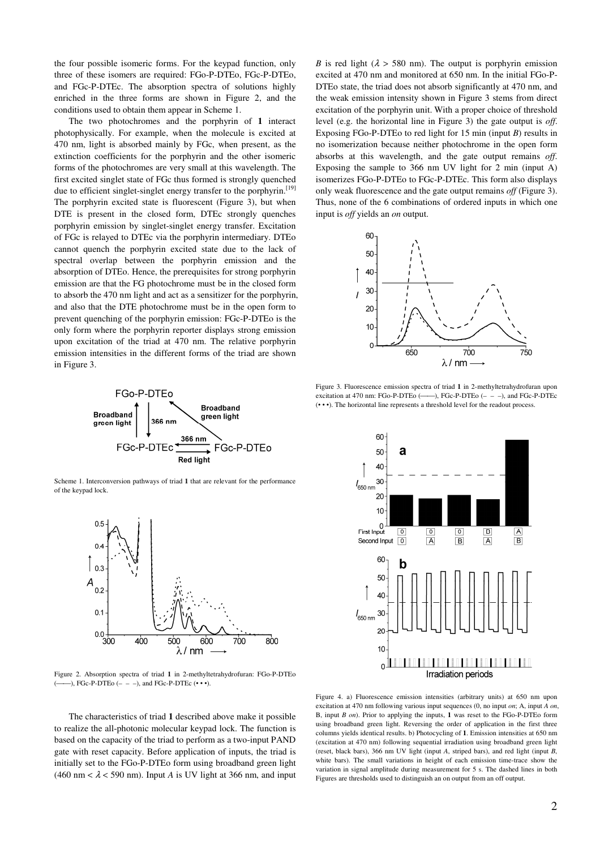the four possible isomeric forms. For the keypad function, only three of these isomers are required: FGo-P-DTEo, FGc-P-DTEo, and FGc-P-DTEc. The absorption spectra of solutions highly enriched in the three forms are shown in Figure 2, and the conditions used to obtain them appear in Scheme 1.

The two photochromes and the porphyrin of **1** interact photophysically. For example, when the molecule is excited at 470 nm, light is absorbed mainly by FGc, when present, as the extinction coefficients for the porphyrin and the other isomeric forms of the photochromes are very small at this wavelength. The first excited singlet state of FGc thus formed is strongly quenched due to efficient singlet-singlet energy transfer to the porphyrin.<sup>[19]</sup> The porphyrin excited state is fluorescent (Figure 3), but when DTE is present in the closed form, DTEc strongly quenches porphyrin emission by singlet-singlet energy transfer. Excitation of FGc is relayed to DTEc via the porphyrin intermediary. DTEo cannot quench the porphyrin excited state due to the lack of spectral overlap between the porphyrin emission and the absorption of DTEo. Hence, the prerequisites for strong porphyrin emission are that the FG photochrome must be in the closed form to absorb the 470 nm light and act as a sensitizer for the porphyrin, and also that the DTE photochrome must be in the open form to prevent quenching of the porphyrin emission: FGc-P-DTEo is the only form where the porphyrin reporter displays strong emission upon excitation of the triad at 470 nm. The relative porphyrin emission intensities in the different forms of the triad are shown in Figure 3.



Scheme 1. Interconversion pathways of triad **1** that are relevant for the performance of the keypad lock.



*B* is red light ( $\lambda > 580$  nm). The output is porphyrin emission excited at 470 nm and monitored at 650 nm. In the initial FGo-P-DTEo state, the triad does not absorb significantly at 470 nm, and the weak emission intensity shown in Figure 3 stems from direct excitation of the porphyrin unit. With a proper choice of threshold level (e.g. the horizontal line in Figure 3) the gate output is *off*. Exposing FGo-P-DTEo to red light for 15 min (input *B*) results in no isomerization because neither photochrome in the open form absorbs at this wavelength, and the gate output remains *off*. Exposing the sample to 366 nm UV light for 2 min (input A) isomerizes FGo-P-DTEo to FGc-P-DTEc. This form also displays only weak fluorescence and the gate output remains *off* (Figure 3). Thus, none of the 6 combinations of ordered inputs in which one input is *off* yields an *on* output.



Figure 3. Fluorescence emission spectra of triad **1** in 2-methyltetrahydrofuran upon excitation at 470 nm: FGo-P-DTEo  $(\_\_),$  FGc-P-DTEo  $(- - )$ , and FGc-P-DTEc (• • •). The horizontal line represents a threshold level for the readout process.



Figure 2. Absorption spectra of triad **1** in 2-methyltetrahydrofuran: FGo-P-DTEo  $(\_\_\_\)_$ , FGc-P-DTEo  $(- - -)$ , and FGc-P-DTEc  $(\cdot \cdot \cdot)$ 

The characteristics of triad **1** described above make it possible to realize the all-photonic molecular keypad lock. The function is based on the capacity of the triad to perform as a two-input PAND gate with reset capacity. Before application of inputs, the triad is initially set to the FGo-P-DTEo form using broadband green light (460 nm  $< \lambda$  < 590 nm). Input *A* is UV light at 366 nm, and input

Figure 4. a) Fluorescence emission intensities (arbitrary units) at 650 nm upon excitation at 470 nm following various input sequences (0, no input *on*; A, input *A on*, B, input *B on*). Prior to applying the inputs, **1** was reset to the FGo-P-DTEo form using broadband green light. Reversing the order of application in the first three columns yields identical results. b) Photocycling of **1**. Emission intensities at 650 nm (excitation at 470 nm) following sequential irradiation using broadband green light (reset, black bars), 366 nm UV light (input *A*, striped bars), and red light (input *B*, white bars). The small variations in height of each emission time-trace show the variation in signal amplitude during measurement for 5 s. The dashed lines in both Figures are thresholds used to distinguish an on output from an off output.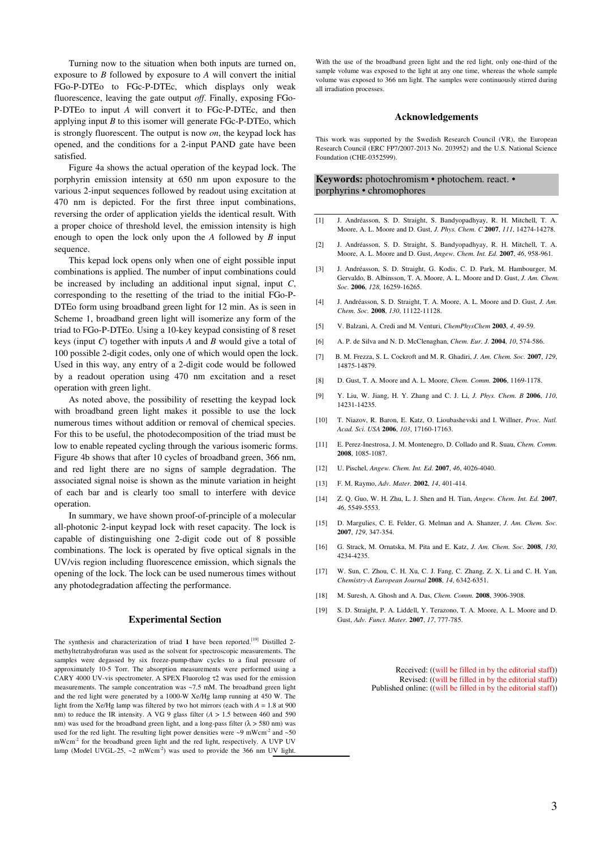Turning now to the situation when both inputs are turned on, exposure to *B* followed by exposure to *A* will convert the initial FGo-P-DTEo to FGc-P-DTEc, which displays only weak fluorescence, leaving the gate output *off*. Finally, exposing FGo-P-DTEo to input *A* will convert it to FGc-P-DTEc, and then applying input *B* to this isomer will generate FGc-P-DTEo, which is strongly fluorescent. The output is now *on*, the keypad lock has opened, and the conditions for a 2-input PAND gate have been satisfied.

Figure 4a shows the actual operation of the keypad lock. The porphyrin emission intensity at 650 nm upon exposure to the various 2-input sequences followed by readout using excitation at 470 nm is depicted. For the first three input combinations, reversing the order of application yields the identical result. With a proper choice of threshold level, the emission intensity is high enough to open the lock only upon the *A* followed by *B* input sequence.

This kepad lock opens only when one of eight possible input combinations is applied. The number of input combinations could be increased by including an additional input signal, input *C*, corresponding to the resetting of the triad to the initial FGo-P-DTEo form using broadband green light for 12 min. As is seen in Scheme 1, broadband green light will isomerize any form of the triad to FGo-P-DTEo. Using a 10-key keypad consisting of 8 reset keys (input *C*) together with inputs *A* and *B* would give a total of 100 possible 2-digit codes, only one of which would open the lock. Used in this way, any entry of a 2-digit code would be followed by a readout operation using 470 nm excitation and a reset operation with green light.

As noted above, the possibility of resetting the keypad lock with broadband green light makes it possible to use the lock numerous times without addition or removal of chemical species. For this to be useful, the photodecomposition of the triad must be low to enable repeated cycling through the various isomeric forms. Figure 4b shows that after 10 cycles of broadband green, 366 nm, and red light there are no signs of sample degradation. The associated signal noise is shown as the minute variation in height of each bar and is clearly too small to interfere with device operation.

In summary, we have shown proof-of-principle of a molecular all-photonic 2-input keypad lock with reset capacity. The lock is capable of distinguishing one 2-digit code out of 8 possible combinations. The lock is operated by five optical signals in the UV/vis region including fluorescence emission, which signals the opening of the lock. The lock can be used numerous times without any photodegradation affecting the performance.

#### **Experimental Section**

The synthesis and characterization of triad **1** have been reported.[19] Distilled 2 methyltetrahydrofuran was used as the solvent for spectroscopic measurements. The samples were degassed by six freeze-pump-thaw cycles to a final pressure of approximately 10-5 Torr. The absorption measurements were performed using a CARY 4000 UV-vis spectrometer. A SPEX Fluorolog τ2 was used for the emission measurements. The sample concentration was ~7.5 mM. The broadband green light and the red light were generated by a 1000-W Xe/Hg lamp running at 450 W. The light from the Xe/Hg lamp was filtered by two hot mirrors (each with  $A = 1.8$  at 900 nm) to reduce the IR intensity. A VG 9 glass filter (*A* > 1.5 between 460 and 590 nm) was used for the broadband green light, and a long-pass filter ( $\lambda$  > 580 nm) was used for the red light. The resulting light power densities were  $\sim$ 9 mWcm<sup>-2</sup> and  $\sim$ 50 mWcm-2 for the broadband green light and the red light, respectively. A UVP UV lamp (Model UVGL-25,  $\sim$ 2 mWcm<sup>-2</sup>) was used to provide the 366 nm UV light.

With the use of the broadband green light and the red light, only one-third of the sample volume was exposed to the light at any one time, whereas the whole sample volume was exposed to 366 nm light. The samples were continuously stirred during all irradiation processes.

#### **Acknowledgements**

This work was supported by the Swedish Research Council (VR), the European Research Council (ERC FP7/2007-2013 No. 203952) and the U.S. National Science Foundation (CHE-0352599).

### **Keywords:** photochromism • photochem. react. • porphyrins • chromophores

- [1] J. Andréasson, S. D. Straight, S. Bandyopadhyay, R. H. Mitchell, T. A. Moore, A. L. Moore and D. Gust, *J. Phys. Chem. C* **2007**, *111*, 14274-14278.
- [2] J. Andréasson, S. D. Straight, S. Bandyopadhyay, R. H. Mitchell, T. A. Moore, A. L. Moore and D. Gust, *Angew. Chem. Int. Ed.* **2007**, *46*, 958-961.
- [3] J. Andréasson, S. D. Straight, G. Kodis, C. D. Park, M. Hambourger, M. Gervaldo, B. Albinsson, T. A. Moore, A. L. Moore and D. Gust, *J. Am. Chem. Soc.* **2006**, *128*, 16259-16265.
- [4] J. Andréasson, S. D. Straight, T. A. Moore, A. L. Moore and D. Gust, *J. Am. Chem. Soc.* **2008**, *130*, 11122-11128.
- [5] V. Balzani, A. Credi and M. Venturi, *ChemPhysChem* **2003**, *4*, 49-59.
- [6] A. P. de Silva and N. D. McClenaghan, *Chem. Eur. J.* **2004**, *10*, 574-586.
- [7] B. M. Frezza, S. L. Cockroft and M. R. Ghadiri, *J. Am. Chem. Soc.* **2007**, *129*, 14875-14879.
- [8] D. Gust, T. A. Moore and A. L. Moore, *Chem. Comm.* **2006**, 1169-1178.
- [9] Y. Liu, W. Jiang, H. Y. Zhang and C. J. Li, *J. Phys. Chem. B* **2006**, *110*, 14231-14235.
- [10] T. Niazov, R. Baron, E. Katz, O. Lioubashevski and I. Willner, *Proc. Natl. Acad. Sci. USA* **2006**, *103*, 17160-17163.
- [11] E. Perez-Inestrosa, J. M. Montenegro, D. Collado and R. Suau, *Chem. Comm.*  **2008**, 1085-1087.
- [12] U. Pischel, *Angew. Chem. Int. Ed.* **2007**, *46*, 4026-4040.
- [13] F. M. Raymo, *Adv. Mater.* **2002**, *14*, 401-414.
- [14] Z. Q. Guo, W. H. Zhu, L. J. Shen and H. Tian, *Angew. Chem. Int. Ed.* **2007**, *46*, 5549-5553.
- [15] D. Margulies, C. E. Felder, G. Melman and A. Shanzer, *J. Am. Chem. Soc.*  **2007**, *129*, 347-354.
- [16] G. Strack, M. Ornatska, M. Pita and E. Katz, *J. Am. Chem. Soc.* **2008**, *130*, 4234-4235.
- [17] W. Sun, C. Zhou, C. H. Xu, C. J. Fang, C. Zhang, Z. X. Li and C. H. Yan, *Chemistry-A European Journal* **2008**, *14*, 6342-6351.
- [18] M. Suresh, A. Ghosh and A. Das, *Chem. Comm.* **2008**, 3906-3908.
- [19] S. D. Straight, P. A. Liddell, Y. Terazono, T. A. Moore, A. L. Moore and D. Gust, *Adv. Funct. Mater.* **2007**, *17*, 777-785.

Received: ((will be filled in by the editorial staff)) Revised: ((will be filled in by the editorial staff)) Published online: ((will be filled in by the editorial staff))